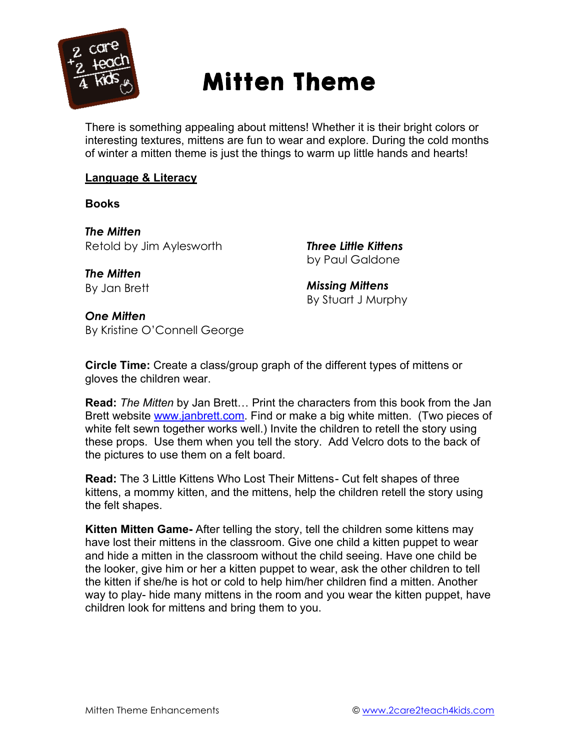

# Mitten Theme

There is something appealing about mittens! Whether it is their bright colors or interesting textures, mittens are fun to wear and explore. During the cold months of winter a mitten theme is just the things to warm up little hands and hearts!

# **Language & Literacy**

**Books**

*The Mitten* Retold by Jim Aylesworth

*Three Little Kittens*  by Paul Galdone

*The Mitten*  By Jan Brett

*Missing Mittens*  By Stuart J Murphy

*One Mitten* By Kristine O'Connell George

**Circle Time:** Create a class/group graph of the different types of mittens or gloves the children wear.

**Read:** *The Mitten* by Jan Brett… Print the characters from this book from the Jan Brett website www.janbrett.com. Find or make a big white mitten. (Two pieces of white felt sewn together works well.) Invite the children to retell the story using these props. Use them when you tell the story. Add Velcro dots to the back of the pictures to use them on a felt board.

**Read:** The 3 Little Kittens Who Lost Their Mittens- Cut felt shapes of three kittens, a mommy kitten, and the mittens, help the children retell the story using the felt shapes.

**Kitten Mitten Game-** After telling the story, tell the children some kittens may have lost their mittens in the classroom. Give one child a kitten puppet to wear and hide a mitten in the classroom without the child seeing. Have one child be the looker, give him or her a kitten puppet to wear, ask the other children to tell the kitten if she/he is hot or cold to help him/her children find a mitten. Another way to play- hide many mittens in the room and you wear the kitten puppet, have children look for mittens and bring them to you.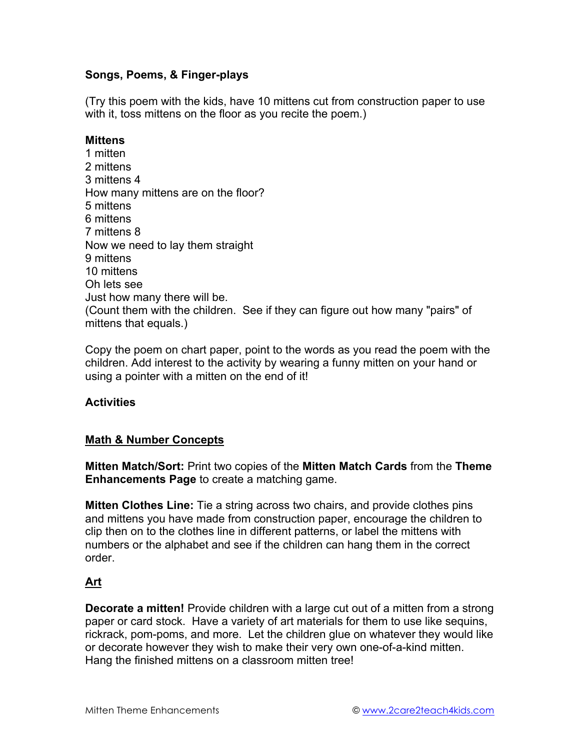# **Songs, Poems, & Finger-plays**

(Try this poem with the kids, have 10 mittens cut from construction paper to use with it, toss mittens on the floor as you recite the poem.)

# **Mittens**

1 mitten 2 mittens 3 mittens 4 How many mittens are on the floor? 5 mittens 6 mittens 7 mittens 8 Now we need to lay them straight 9 mittens 10 mittens Oh lets see Just how many there will be. (Count them with the children. See if they can figure out how many "pairs" of mittens that equals.)

Copy the poem on chart paper, point to the words as you read the poem with the children. Add interest to the activity by wearing a funny mitten on your hand or using a pointer with a mitten on the end of it!

# **Activities**

## **Math & Number Concepts**

**Mitten Match/Sort:** Print two copies of the **Mitten Match Cards** from the **Theme Enhancements Page** to create a matching game.

**Mitten Clothes Line:** Tie a string across two chairs, and provide clothes pins and mittens you have made from construction paper, encourage the children to clip then on to the clothes line in different patterns, or label the mittens with numbers or the alphabet and see if the children can hang them in the correct order.

# **Art**

**Decorate a mitten!** Provide children with a large cut out of a mitten from a strong paper or card stock. Have a variety of art materials for them to use like sequins, rickrack, pom-poms, and more. Let the children glue on whatever they would like or decorate however they wish to make their very own one-of-a-kind mitten. Hang the finished mittens on a classroom mitten tree!